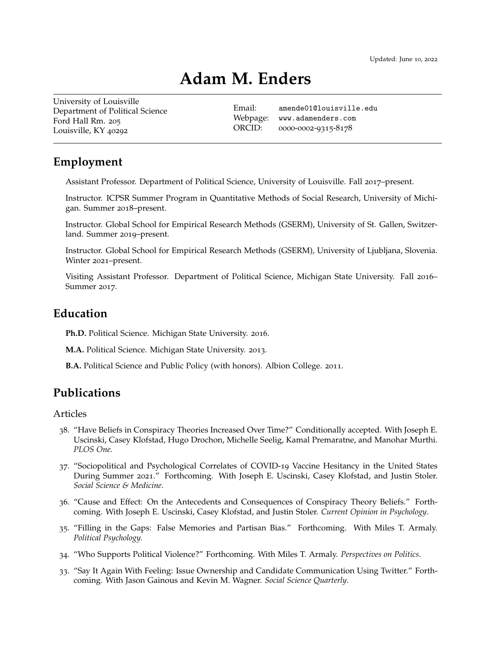# **Adam M. Enders**

[University of Louisville](http://louisville.edu/politicalscience) Department of Political Science Ford Hall Rm. 205 Louisville, KY 40292

Email: [amende01@louisville.edu](mailto:amende01@louisville.edu) Webpage: [www.adamenders.com](http://www.adamenders.com) ORCID: 0000-0002-9315-8178

## **Employment**

Assistant Professor. Department of Political Science, University of Louisville. Fall 2017–present.

Instructor. ICPSR Summer Program in Quantitative Methods of Social Research, University of Michigan. Summer 2018–present.

Instructor. Global School for Empirical Research Methods (GSERM), University of St. Gallen, Switzerland. Summer 2019–present.

Instructor. Global School for Empirical Research Methods (GSERM), University of Ljubljana, Slovenia. Winter 2021–present.

Visiting Assistant Professor. Department of Political Science, Michigan State University. Fall 2016– Summer 2017.

## **Education**

**Ph.D.** Political Science. Michigan State University. 2016.

**M.A.** Political Science. Michigan State University. 2013.

**B.A.** Political Science and Public Policy (with honors). Albion College. 2011.

## **Publications**

#### Articles

- 38. "Have Beliefs in Conspiracy Theories Increased Over Time?" Conditionally accepted. With Joseph E. Uscinski, Casey Klofstad, Hugo Drochon, Michelle Seelig, Kamal Premaratne, and Manohar Murthi. *PLOS One*.
- 37. "Sociopolitical and Psychological Correlates of COVID-19 Vaccine Hesitancy in the United States During Summer 2021." Forthcoming. With Joseph E. Uscinski, Casey Klofstad, and Justin Stoler. *Social Science & Medicine*.
- 36. "Cause and Effect: On the Antecedents and Consequences of Conspiracy Theory Beliefs." Forthcoming. With Joseph E. Uscinski, Casey Klofstad, and Justin Stoler. *Current Opinion in Psychology*.
- 35. "Filling in the Gaps: False Memories and Partisan Bias." Forthcoming. With Miles T. Armaly. *Political Psychology.*
- 34. "Who Supports Political Violence?" Forthcoming. With Miles T. Armaly. *Perspectives on Politics*.
- 33. "Say It Again With Feeling: Issue Ownership and Candidate Communication Using Twitter." Forthcoming. With Jason Gainous and Kevin M. Wagner. *Social Science Quarterly*.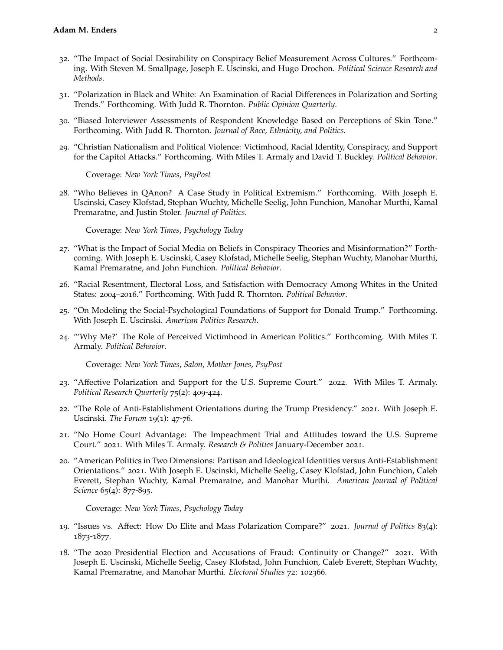- 32. "The Impact of Social Desirability on Conspiracy Belief Measurement Across Cultures." Forthcoming. With Steven M. Smallpage, Joseph E. Uscinski, and Hugo Drochon. *Political Science Research and Methods*.
- 31. "Polarization in Black and White: An Examination of Racial Differences in Polarization and Sorting Trends." Forthcoming. With Judd R. Thornton. *Public Opinion Quarterly*.
- 30. "Biased Interviewer Assessments of Respondent Knowledge Based on Perceptions of Skin Tone." Forthcoming. With Judd R. Thornton. *Journal of Race, Ethnicity, and Politics*.
- 29. "Christian Nationalism and Political Violence: Victimhood, Racial Identity, Conspiracy, and Support for the Capitol Attacks." Forthcoming. With Miles T. Armaly and David T. Buckley. *Political Behavior*.

Coverage: *New York Times*, *PsyPost*

28. "Who Believes in QAnon? A Case Study in Political Extremism." Forthcoming. With Joseph E. Uscinski, Casey Klofstad, Stephan Wuchty, Michelle Seelig, John Funchion, Manohar Murthi, Kamal Premaratne, and Justin Stoler. *Journal of Politics*.

Coverage: *New York Times*, *Psychology Today*

- 27. "What is the Impact of Social Media on Beliefs in Conspiracy Theories and Misinformation?" Forthcoming. With Joseph E. Uscinski, Casey Klofstad, Michelle Seelig, Stephan Wuchty, Manohar Murthi, Kamal Premaratne, and John Funchion. *Political Behavior*.
- 26. "Racial Resentment, Electoral Loss, and Satisfaction with Democracy Among Whites in the United States: 2004–2016." Forthcoming. With Judd R. Thornton. *Political Behavior*.
- 25. "On Modeling the Social-Psychological Foundations of Support for Donald Trump." Forthcoming. With Joseph E. Uscinski. *American Politics Research*.
- 24. "'Why Me?' The Role of Perceived Victimhood in American Politics." Forthcoming. With Miles T. Armaly. *Political Behavior*.

Coverage: *New York Times*, *Salon*, *Mother Jones*, *PsyPost*

- 23. "Affective Polarization and Support for the U.S. Supreme Court." 2022. With Miles T. Armaly. *Political Research Quarterly* 75(2): 409-424.
- 22. "The Role of Anti-Establishment Orientations during the Trump Presidency." 2021. With Joseph E. Uscinski. *The Forum* 19(1): 47-76.
- 21. "No Home Court Advantage: The Impeachment Trial and Attitudes toward the U.S. Supreme Court." 2021. With Miles T. Armaly. *Research & Politics* January-December 2021.
- 20. "American Politics in Two Dimensions: Partisan and Ideological Identities versus Anti-Establishment Orientations." 2021. With Joseph E. Uscinski, Michelle Seelig, Casey Klofstad, John Funchion, Caleb Everett, Stephan Wuchty, Kamal Premaratne, and Manohar Murthi. *American Journal of Political Science* 65(4): 877-895.

Coverage: *New York Times*, *Psychology Today*

- 19. "Issues vs. Affect: How Do Elite and Mass Polarization Compare?" 2021. *Journal of Politics* 83(4): 1873-1877.
- 18. "The 2020 Presidential Election and Accusations of Fraud: Continuity or Change?" 2021. With Joseph E. Uscinski, Michelle Seelig, Casey Klofstad, John Funchion, Caleb Everett, Stephan Wuchty, Kamal Premaratne, and Manohar Murthi. *Electoral Studies* 72: 102366.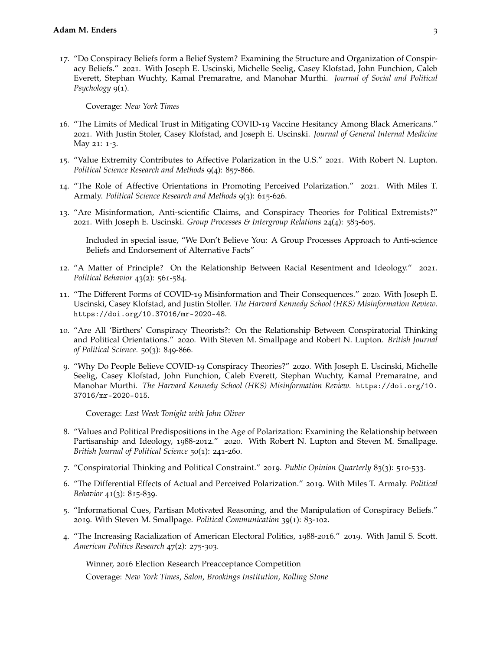17. "Do Conspiracy Beliefs form a Belief System? Examining the Structure and Organization of Conspiracy Beliefs." 2021. With Joseph E. Uscinski, Michelle Seelig, Casey Klofstad, John Funchion, Caleb Everett, Stephan Wuchty, Kamal Premaratne, and Manohar Murthi. *Journal of Social and Political Psychology* 9(1).

Coverage: *New York Times*

- 16. "The Limits of Medical Trust in Mitigating COVID-19 Vaccine Hesitancy Among Black Americans." 2021. With Justin Stoler, Casey Klofstad, and Joseph E. Uscinski. *Journal of General Internal Medicine* May 21: 1-3.
- 15. "Value Extremity Contributes to Affective Polarization in the U.S." 2021. With Robert N. Lupton. *Political Science Research and Methods* 9(4): 857-866.
- 14. "The Role of Affective Orientations in Promoting Perceived Polarization." 2021. With Miles T. Armaly. *Political Science Research and Methods* 9(3): 615-626.
- 13. "Are Misinformation, Anti-scientific Claims, and Conspiracy Theories for Political Extremists?" 2021. With Joseph E. Uscinski. *Group Processes & Intergroup Relations* 24(4): 583-605.

Included in special issue, "We Don't Believe You: A Group Processes Approach to Anti-science Beliefs and Endorsement of Alternative Facts"

- 12. "A Matter of Principle? On the Relationship Between Racial Resentment and Ideology." 2021. *Political Behavior* 43(2): 561-584.
- 11. "The Different Forms of COVID-19 Misinformation and Their Consequences." 2020. With Joseph E. Uscinski, Casey Klofstad, and Justin Stoller. *The Harvard Kennedy School (HKS) Misinformation Review*. <https://doi.org/10.37016/mr-2020-48>.
- 10. "Are All 'Birthers' Conspiracy Theorists?: On the Relationship Between Conspiratorial Thinking and Political Orientations." 2020. With Steven M. Smallpage and Robert N. Lupton. *British Journal of Political Science*. 50(3): 849-866.
- 9. "Why Do People Believe COVID-19 Conspiracy Theories?" 2020. With Joseph E. Uscinski, Michelle Seelig, Casey Klofstad, John Funchion, Caleb Everett, Stephan Wuchty, Kamal Premaratne, and Manohar Murthi. *The Harvard Kennedy School (HKS) Misinformation Review*. [https://doi.org/10.](https://doi.org/10.37016/mr-2020-015) [37016/mr-2020-015](https://doi.org/10.37016/mr-2020-015).

Coverage: *Last Week Tonight with John Oliver*

- 8. "Values and Political Predispositions in the Age of Polarization: Examining the Relationship between Partisanship and Ideology, 1988-2012." 2020. With Robert N. Lupton and Steven M. Smallpage. *British Journal of Political Science* 50(1): 241-260.
- 7. "Conspiratorial Thinking and Political Constraint." 2019. *Public Opinion Quarterly* 83(3): 510-533.
- 6. "The Differential Effects of Actual and Perceived Polarization." 2019. With Miles T. Armaly. *Political Behavior* 41(3): 815-839.
- 5. "Informational Cues, Partisan Motivated Reasoning, and the Manipulation of Conspiracy Beliefs." 2019. With Steven M. Smallpage. *Political Communication* 39(1): 83-102.
- 4. "The Increasing Racialization of American Electoral Politics, 1988-2016." 2019. With Jamil S. Scott. *American Politics Research* 47(2): 275-303.

Winner, 2016 Election Research Preacceptance Competition Coverage: *New York Times*, *Salon*, *Brookings Institution*, *Rolling Stone*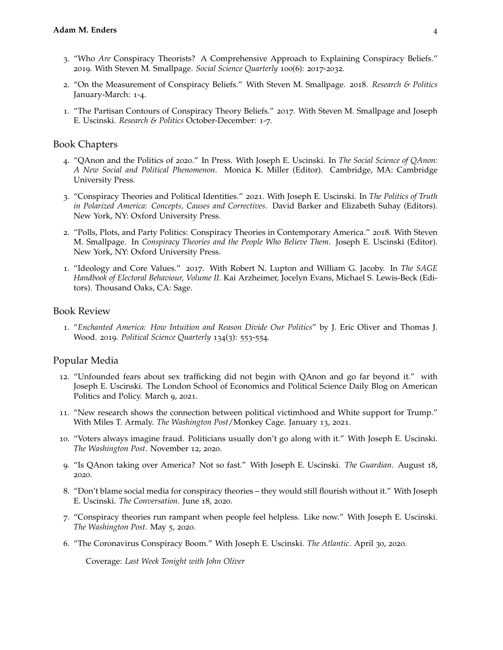- 3. "Who *Are* Conspiracy Theorists? A Comprehensive Approach to Explaining Conspiracy Beliefs." 2019. With Steven M. Smallpage. *Social Science Quarterly* 100(6): 2017-2032.
- 2. "On the Measurement of Conspiracy Beliefs." With Steven M. Smallpage. 2018. *Research & Politics* January-March: 1-4.
- 1. "The Partisan Contours of Conspiracy Theory Beliefs." 2017. With Steven M. Smallpage and Joseph E. Uscinski. *Research & Politics* October-December: 1-7.

#### Book Chapters

- 4. "QAnon and the Politics of 2020." In Press. With Joseph E. Uscinski. In *The Social Science of QAnon: A New Social and Political Phenomenon*. Monica K. Miller (Editor). Cambridge, MA: Cambridge University Press.
- 3. "Conspiracy Theories and Political Identities." 2021. With Joseph E. Uscinski. In *The Politics of Truth in Polarized America: Concepts, Causes and Correctives*. David Barker and Elizabeth Suhay (Editors). New York, NY: Oxford University Press.
- 2. "Polls, Plots, and Party Politics: Conspiracy Theories in Contemporary America." 2018. With Steven M. Smallpage. In *Conspiracy Theories and the People Who Believe Them*. Joseph E. Uscinski (Editor). New York, NY: Oxford University Press.
- 1. "Ideology and Core Values." 2017. With Robert N. Lupton and William G. Jacoby. In *The SAGE Handbook of Electoral Behaviour, Volume II*. Kai Arzheimer, Jocelyn Evans, Michael S. Lewis-Beck (Editors). Thousand Oaks, CA: Sage.

#### Book Review

1. "*Enchanted America: How Intuition and Reason Divide Our Politics*" by J. Eric Oliver and Thomas J. Wood. 2019. *Political Science Quarterly* 134(3): 553-554.

#### Popular Media

- 12. "Unfounded fears about sex trafficking did not begin with QAnon and go far beyond it." with Joseph E. Uscinski. The London School of Economics and Political Science Daily Blog on American Politics and Policy. March 9, 2021.
- 11. "New research shows the connection between political victimhood and White support for Trump." With Miles T. Armaly. *The Washington Post*/Monkey Cage. January 13, 2021.
- 10. "Voters always imagine fraud. Politicians usually don't go along with it." With Joseph E. Uscinski. *The Washington Post*. November 12, 2020.
- 9. "Is QAnon taking over America? Not so fast." With Joseph E. Uscinski. *The Guardian*. August 18, 2020.
- 8. "Don't blame social media for conspiracy theories they would still flourish without it." With Joseph E. Uscinski. *The Conversation*. June 18, 2020.
- 7. "Conspiracy theories run rampant when people feel helpless. Like now." With Joseph E. Uscinski. *The Washington Post*. May 5, 2020.
- 6. "The Coronavirus Conspiracy Boom." With Joseph E. Uscinski. *The Atlantic*. April 30, 2020.

Coverage: *Last Week Tonight with John Oliver*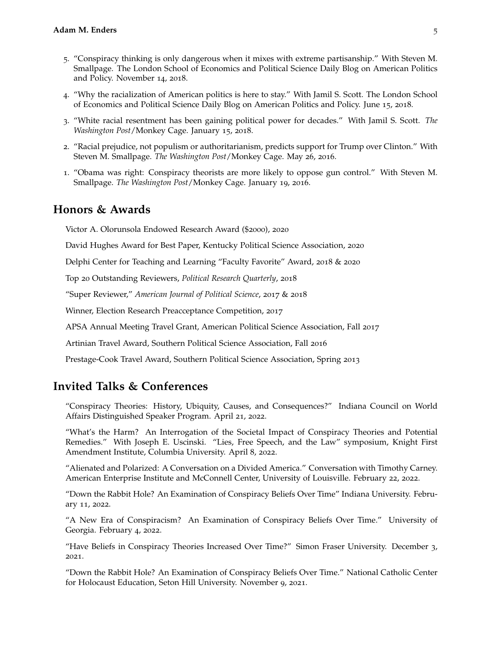- 5. "Conspiracy thinking is only dangerous when it mixes with extreme partisanship." With Steven M. Smallpage. The London School of Economics and Political Science Daily Blog on American Politics and Policy. November 14, 2018.
- 4. "Why the racialization of American politics is here to stay." With Jamil S. Scott. The London School of Economics and Political Science Daily Blog on American Politics and Policy. June 15, 2018.
- 3. "White racial resentment has been gaining political power for decades." With Jamil S. Scott. *The Washington Post*/Monkey Cage. January 15, 2018.
- 2. "Racial prejudice, not populism or authoritarianism, predicts support for Trump over Clinton." With Steven M. Smallpage. *The Washington Post*/Monkey Cage. May 26, 2016.
- 1. "Obama was right: Conspiracy theorists are more likely to oppose gun control." With Steven M. Smallpage. *The Washington Post*/Monkey Cage. January 19, 2016.

### **Honors & Awards**

Victor A. Olorunsola Endowed Research Award (\$2000), 2020

David Hughes Award for Best Paper, Kentucky Political Science Association, 2020

Delphi Center for Teaching and Learning "Faculty Favorite" Award, 2018 & 2020

Top 20 Outstanding Reviewers, *Political Research Quarterly*, 2018

"Super Reviewer," *American Journal of Political Science*, 2017 & 2018

Winner, Election Research Preacceptance Competition, 2017

APSA Annual Meeting Travel Grant, American Political Science Association, Fall 2017

Artinian Travel Award, Southern Political Science Association, Fall 2016

Prestage-Cook Travel Award, Southern Political Science Association, Spring 2013

## **Invited Talks & Conferences**

"Conspiracy Theories: History, Ubiquity, Causes, and Consequences?" Indiana Council on World Affairs Distinguished Speaker Program. April 21, 2022.

"What's the Harm? An Interrogation of the Societal Impact of Conspiracy Theories and Potential Remedies." With Joseph E. Uscinski. "Lies, Free Speech, and the Law" symposium, Knight First Amendment Institute, Columbia University. April 8, 2022.

"Alienated and Polarized: A Conversation on a Divided America." Conversation with Timothy Carney. American Enterprise Institute and McConnell Center, University of Louisville. February 22, 2022.

"Down the Rabbit Hole? An Examination of Conspiracy Beliefs Over Time" Indiana University. February 11, 2022.

"A New Era of Conspiracism? An Examination of Conspiracy Beliefs Over Time." University of Georgia. February 4, 2022.

"Have Beliefs in Conspiracy Theories Increased Over Time?" Simon Fraser University. December 3, 2021.

"Down the Rabbit Hole? An Examination of Conspiracy Beliefs Over Time." National Catholic Center for Holocaust Education, Seton Hill University. November 9, 2021.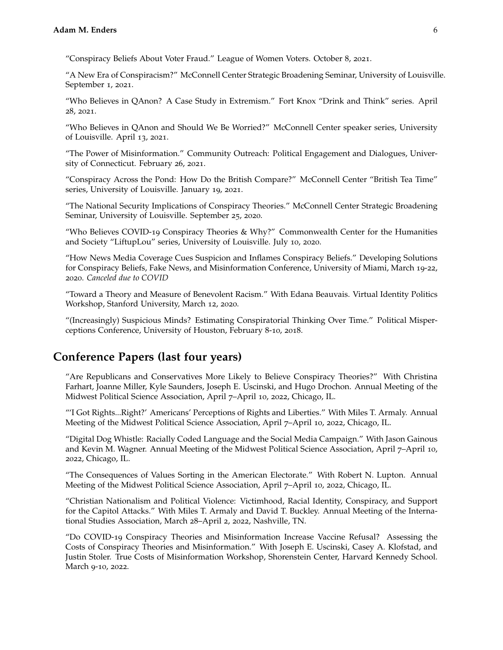"Conspiracy Beliefs About Voter Fraud." League of Women Voters. October 8, 2021.

"A New Era of Conspiracism?" McConnell Center Strategic Broadening Seminar, University of Louisville. September 1, 2021.

"Who Believes in QAnon? A Case Study in Extremism." Fort Knox "Drink and Think" series. April 28, 2021.

"Who Believes in QAnon and Should We Be Worried?" McConnell Center speaker series, University of Louisville. April 13, 2021.

"The Power of Misinformation." Community Outreach: Political Engagement and Dialogues, University of Connecticut. February 26, 2021.

"Conspiracy Across the Pond: How Do the British Compare?" McConnell Center "British Tea Time" series, University of Louisville. January 19, 2021.

"The National Security Implications of Conspiracy Theories." McConnell Center Strategic Broadening Seminar, University of Louisville. September 25, 2020.

"Who Believes COVID-19 Conspiracy Theories & Why?" Commonwealth Center for the Humanities and Society "LiftupLou" series, University of Louisville. July 10, 2020.

"How News Media Coverage Cues Suspicion and Inflames Conspiracy Beliefs." Developing Solutions for Conspiracy Beliefs, Fake News, and Misinformation Conference, University of Miami, March 19-22, 2020. *Canceled due to COVID*

"Toward a Theory and Measure of Benevolent Racism." With Edana Beauvais. Virtual Identity Politics Workshop, Stanford University, March 12, 2020.

"(Increasingly) Suspicious Minds? Estimating Conspiratorial Thinking Over Time." Political Misperceptions Conference, University of Houston, February 8-10, 2018.

# **Conference Papers (last four years)**

"Are Republicans and Conservatives More Likely to Believe Conspiracy Theories?" With Christina Farhart, Joanne Miller, Kyle Saunders, Joseph E. Uscinski, and Hugo Drochon. Annual Meeting of the Midwest Political Science Association, April 7–April 10, 2022, Chicago, IL.

"'I Got Rights...Right?' Americans' Perceptions of Rights and Liberties." With Miles T. Armaly. Annual Meeting of the Midwest Political Science Association, April 7–April 10, 2022, Chicago, IL.

"Digital Dog Whistle: Racially Coded Language and the Social Media Campaign." With Jason Gainous and Kevin M. Wagner. Annual Meeting of the Midwest Political Science Association, April 7–April 10, 2022, Chicago, IL.

"The Consequences of Values Sorting in the American Electorate." With Robert N. Lupton. Annual Meeting of the Midwest Political Science Association, April 7–April 10, 2022, Chicago, IL.

"Christian Nationalism and Political Violence: Victimhood, Racial Identity, Conspiracy, and Support for the Capitol Attacks." With Miles T. Armaly and David T. Buckley. Annual Meeting of the International Studies Association, March 28–April 2, 2022, Nashville, TN.

"Do COVID-19 Conspiracy Theories and Misinformation Increase Vaccine Refusal? Assessing the Costs of Conspiracy Theories and Misinformation." With Joseph E. Uscinski, Casey A. Klofstad, and Justin Stoler. True Costs of Misinformation Workshop, Shorenstein Center, Harvard Kennedy School. March 9-10, 2022.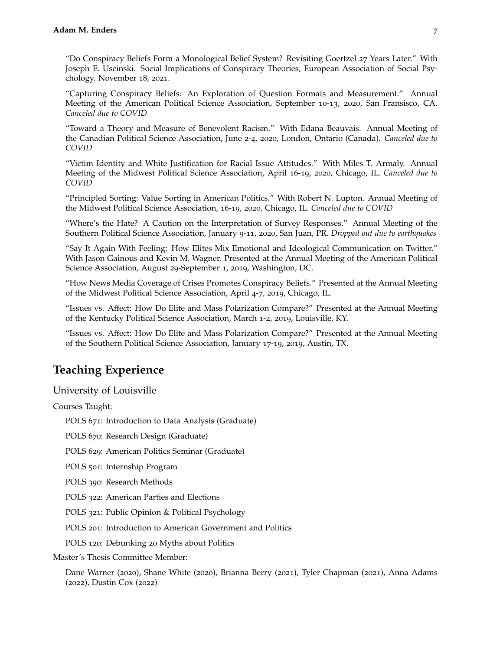"Do Conspiracy Beliefs Form a Monological Belief System? Revisiting Goertzel 27 Years Later." With Joseph E. Uscinski. Social Implications of Conspiracy Theories, European Association of Social Psychology. November 18, 2021.

"Capturing Conspiracy Beliefs: An Exploration of Question Formats and Measurement." Annual Meeting of the American Political Science Association, September 10-13, 2020, San Fransisco, CA. *Canceled due to COVID*

"Toward a Theory and Measure of Benevolent Racism." With Edana Beauvais. Annual Meeting of the Canadian Political Science Association, June 2-4, 2020, London, Ontario (Canada). *Canceled due to COVID*

"Victim Identity and White Justification for Racial Issue Attitudes." With Miles T. Armaly. Annual Meeting of the Midwest Political Science Association, April 16-19, 2020, Chicago, IL. *Canceled due to COVID*

"Principled Sorting: Value Sorting in American Politics." With Robert N. Lupton. Annual Meeting of the Midwest Political Science Association, 16-19, 2020, Chicago, IL. *Canceled due to COVID*

"Where's the Hate? A Caution on the Interpretation of Survey Responses." Annual Meeting of the Southern Political Science Association, January 9-11, 2020, San Juan, PR. *Dropped out due to earthquakes*

"Say It Again With Feeling: How Elites Mix Emotional and Ideological Communication on Twitter." With Jason Gainous and Kevin M. Wagner. Presented at the Annual Meeting of the American Political Science Association, August 29-September 1, 2019, Washington, DC.

"How News Media Coverage of Crises Promotes Conspiracy Beliefs." Presented at the Annual Meeting of the Midwest Political Science Association, April 4-7, 2019, Chicago, IL.

"Issues vs. Affect: How Do Elite and Mass Polarization Compare?" Presented at the Annual Meeting of the Kentucky Political Science Association, March 1-2, 2019, Louisville, KY.

"Issues vs. Affect: How Do Elite and Mass Polarization Compare?" Presented at the Annual Meeting of the Southern Political Science Association, January 17-19, 2019, Austin, TX.

# **Teaching Experience**

University of Louisville

Courses Taught:

POLS 671: Introduction to Data Analysis (Graduate)

POLS 670: Research Design (Graduate)

POLS 629: American Politics Seminar (Graduate)

POLS 501: Internship Program

POLS 390: Research Methods

POLS 322: American Parties and Elections

POLS 321: Public Opinion & Political Psychology

POLS 201: Introduction to American Government and Politics

POLS 120: Debunking 20 Myths about Politics

Master's Thesis Committee Member:

Dane Warner (2020), Shane White (2020), Brianna Berry (2021), Tyler Chapman (2021), Anna Adams (2022), Dustin Cox (2022)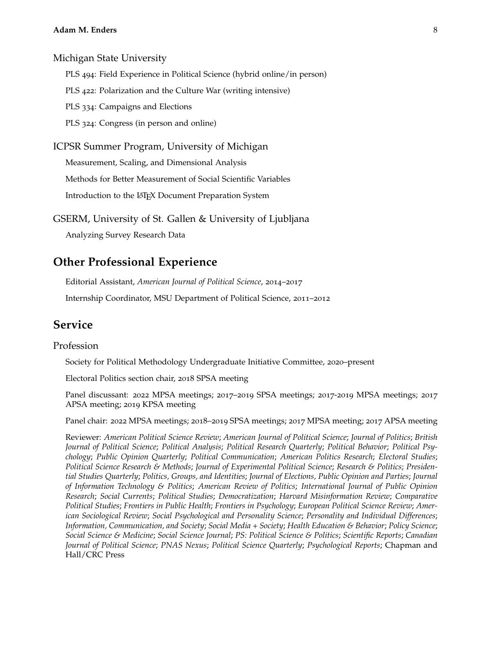Michigan State University

PLS 494: Field Experience in Political Science (hybrid online/in person)

PLS 422: Polarization and the Culture War (writing intensive)

PLS 334: Campaigns and Elections

PLS 324: Congress (in person and online)

ICPSR Summer Program, University of Michigan

Measurement, Scaling, and Dimensional Analysis

Methods for Better Measurement of Social Scientific Variables

Introduction to the LAT<sub>E</sub>X Document Preparation System

GSERM, University of St. Gallen & University of Ljubljana

Analyzing Survey Research Data

## **Other Professional Experience**

Editorial Assistant, *American Journal of Political Science*, 2014–2017

Internship Coordinator, MSU Department of Political Science, 2011–2012

# **Service**

### Profession

Society for Political Methodology Undergraduate Initiative Committee, 2020–present

Electoral Politics section chair, 2018 SPSA meeting

Panel discussant: 2022 MPSA meetings; 2017–2019 SPSA meetings; 2017-2019 MPSA meetings; 2017 APSA meeting; 2019 KPSA meeting

Panel chair: 2022 MPSA meetings; 2018–2019 SPSA meetings; 2017 MPSA meeting; 2017 APSA meeting

Reviewer: *American Political Science Review*; *American Journal of Political Science*; *Journal of Politics*; *British Journal of Political Science*; *Political Analysis*; *Political Research Quarterly*; *Political Behavior*; *Political Psychology*; *Public Opinion Quarterly*; *Political Communication*; *American Politics Research*; *Electoral Studies*; *Political Science Research & Methods*; *Journal of Experimental Political Science*; *Research & Politics*; *Presidential Studies Quarterly*; *Politics, Groups, and Identities*; *Journal of Elections, Public Opinion and Parties*; *Journal of Information Technology & Politics*; *American Review of Politics*; *International Journal of Public Opinion Research*; *Social Currents*; *Political Studies*; *Democratization*; *Harvard Misinformation Review*; *Comparative Political Studies*; *Frontiers in Public Health*; *Frontiers in Psychology*; *European Political Science Review*; *American Sociological Review*; *Social Psychological and Personality Science*; *Personality and Individual Differences*; *Information, Communication, and Society*; *Social Media + Society*; *Health Education & Behavior*; *Policy Science*; *Social Science & Medicine*; *Social Science Journal*; *PS: Political Science & Politics*; *Scientific Reports*; *Canadian Journal of Political Science*; *PNAS Nexus*; *Political Science Quarterly*; *Psychological Reports*; Chapman and Hall/CRC Press